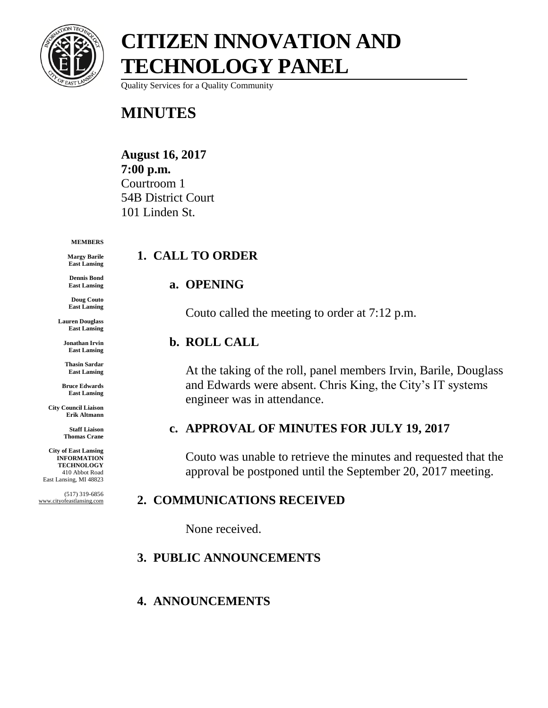

Quality Services for a Quality Community

### **MINUTES**

**August 16, 2017 7:00 p.m.** Courtroom 1 54B District Court 101 Linden St.

#### **MEMBERS**

**Margy Barile East Lansing**

**Dennis Bond East Lansing**

**Doug Couto East Lansing**

**Lauren Douglass East Lansing**

**Jonathan Irvin East Lansing**

**Thasin Sardar East Lansing**

**Bruce Edwards East Lansing**

**City Council Liaison Erik Altmann**

> **Staff Liaison Thomas Crane**

**City of East Lansing INFORMATION TECHNOLOGY** 410 Abbot Road East Lansing, MI 48823

(517) 319-6856 www.cityofeastlansing.com

### **1. CALL TO ORDER**

### **a. OPENING**

Couto called the meeting to order at 7:12 p.m.

#### **b. ROLL CALL**

At the taking of the roll, panel members Irvin, Barile, Douglass and Edwards were absent. Chris King, the City's IT systems engineer was in attendance.

### **c. APPROVAL OF MINUTES FOR JULY 19, 2017**

Couto was unable to retrieve the minutes and requested that the approval be postponed until the September 20, 2017 meeting.

### **2. COMMUNICATIONS RECEIVED**

None received.

### **3. PUBLIC ANNOUNCEMENTS**

### **4. ANNOUNCEMENTS**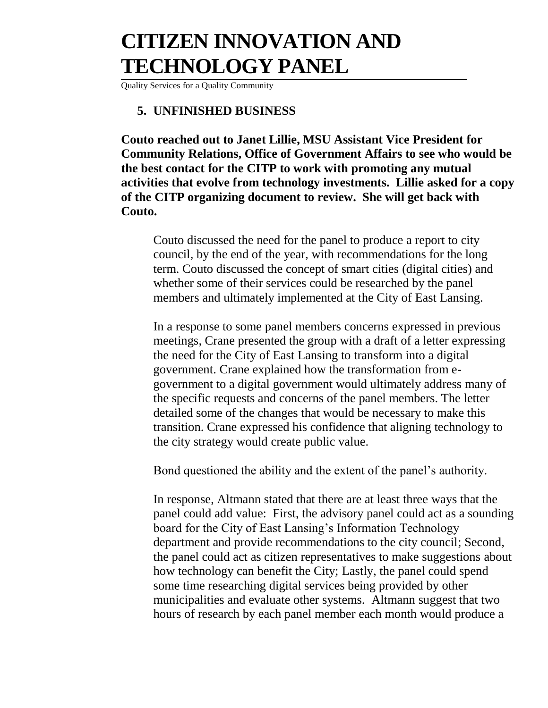Quality Services for a Quality Community

#### **5. UNFINISHED BUSINESS**

**Couto reached out to Janet Lillie, MSU Assistant Vice President for Community Relations, Office of Government Affairs to see who would be the best contact for the CITP to work with promoting any mutual activities that evolve from technology investments. Lillie asked for a copy of the CITP organizing document to review. She will get back with Couto.**

Couto discussed the need for the panel to produce a report to city council, by the end of the year, with recommendations for the long term. Couto discussed the concept of smart cities (digital cities) and whether some of their services could be researched by the panel members and ultimately implemented at the City of East Lansing.

In a response to some panel members concerns expressed in previous meetings, Crane presented the group with a draft of a letter expressing the need for the City of East Lansing to transform into a digital government. Crane explained how the transformation from egovernment to a digital government would ultimately address many of the specific requests and concerns of the panel members. The letter detailed some of the changes that would be necessary to make this transition. Crane expressed his confidence that aligning technology to the city strategy would create public value.

Bond questioned the ability and the extent of the panel's authority.

In response, Altmann stated that there are at least three ways that the panel could add value: First, the advisory panel could act as a sounding board for the City of East Lansing's Information Technology department and provide recommendations to the city council; Second, the panel could act as citizen representatives to make suggestions about how technology can benefit the City; Lastly, the panel could spend some time researching digital services being provided by other municipalities and evaluate other systems. Altmann suggest that two hours of research by each panel member each month would produce a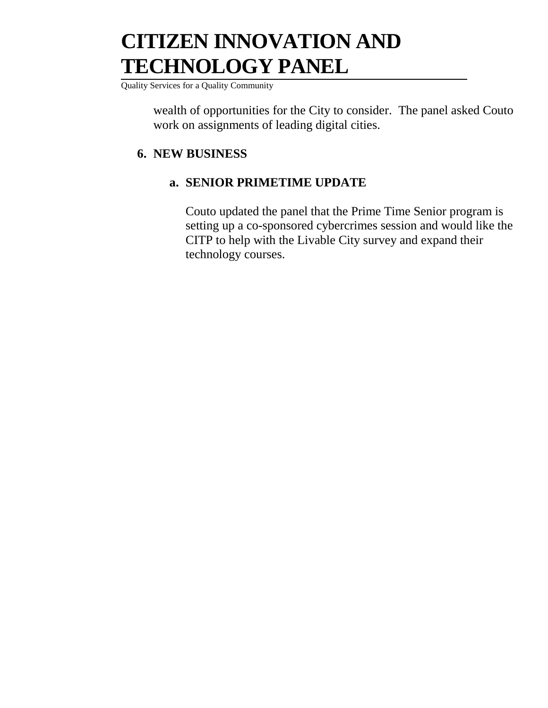Quality Services for a Quality Community

wealth of opportunities for the City to consider. The panel asked Couto work on assignments of leading digital cities.

### **6. NEW BUSINESS**

### **a. SENIOR PRIMETIME UPDATE**

Couto updated the panel that the Prime Time Senior program is setting up a co-sponsored cybercrimes session and would like the CITP to help with the Livable City survey and expand their technology courses.